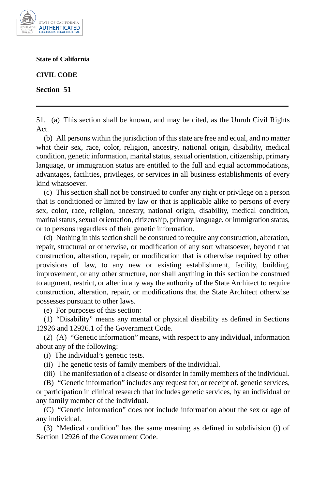

**State of California**

**CIVIL CODE**

**Section 51**

51. (a) This section shall be known, and may be cited, as the Unruh Civil Rights Act.

(b) All persons within the jurisdiction of this state are free and equal, and no matter what their sex, race, color, religion, ancestry, national origin, disability, medical condition, genetic information, marital status, sexual orientation, citizenship, primary language, or immigration status are entitled to the full and equal accommodations, advantages, facilities, privileges, or services in all business establishments of every kind whatsoever.

(c) This section shall not be construed to confer any right or privilege on a person that is conditioned or limited by law or that is applicable alike to persons of every sex, color, race, religion, ancestry, national origin, disability, medical condition, marital status, sexual orientation, citizenship, primary language, or immigration status, or to persons regardless of their genetic information.

(d) Nothing in this section shall be construed to require any construction, alteration, repair, structural or otherwise, or modification of any sort whatsoever, beyond that construction, alteration, repair, or modification that is otherwise required by other provisions of law, to any new or existing establishment, facility, building, improvement, or any other structure, nor shall anything in this section be construed to augment, restrict, or alter in any way the authority of the State Architect to require construction, alteration, repair, or modifications that the State Architect otherwise possesses pursuant to other laws.

(e) For purposes of this section:

(1) "Disability" means any mental or physical disability as defined in Sections 12926 and 12926.1 of the Government Code.

(2) (A) "Genetic information" means, with respect to any individual, information about any of the following:

(i) The individual's genetic tests.

(ii) The genetic tests of family members of the individual.

(iii) The manifestation of a disease or disorder in family members of the individual.

(B) "Genetic information" includes any request for, or receipt of, genetic services, or participation in clinical research that includes genetic services, by an individual or any family member of the individual.

(C) "Genetic information" does not include information about the sex or age of any individual.

(3) "Medical condition" has the same meaning as defined in subdivision (i) of Section 12926 of the Government Code.